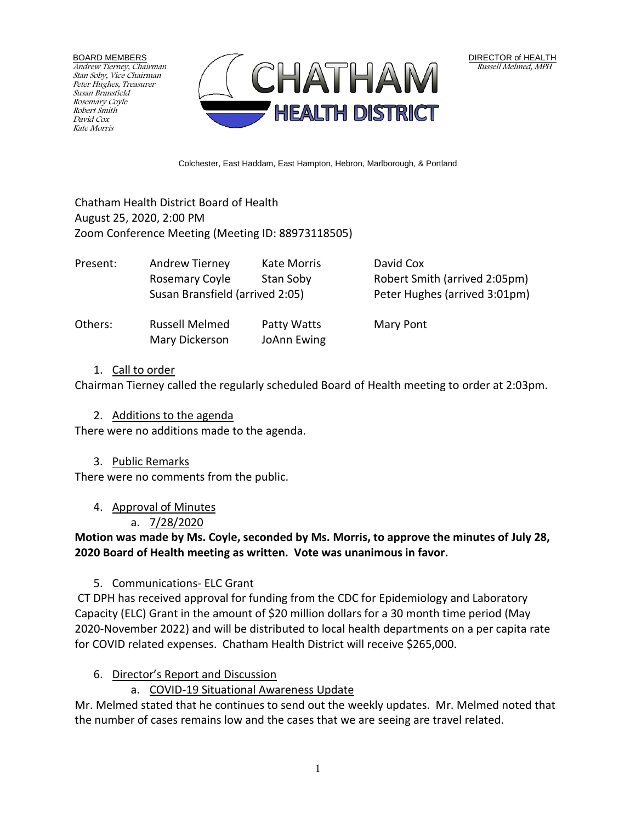BOARD MEMBERS Andrew Tierney, Chairman Stan Soby, Vice Chairman Peter Hughes, Treasurer Susan Bransfield Rosemary Coyle Robert Smith David Cox Kate Morris



Colchester, East Haddam, East Hampton, Hebron, Marlborough, & Portland

### Chatham Health District Board of Health August 25, 2020, 2:00 PM Zoom Conference Meeting (Meeting ID: 88973118505)

| Present: | Andrew Tierney<br>Rosemary Coyle<br>Susan Bransfield (arrived 2:05) | Kate Morris<br>Stan Soby   | David Cox<br>Robert Smith (arrived 2:05pm)<br>Peter Hughes (arrived 3:01pm) |
|----------|---------------------------------------------------------------------|----------------------------|-----------------------------------------------------------------------------|
| Others:  | <b>Russell Melmed</b><br>Mary Dickerson                             | Patty Watts<br>JoAnn Ewing | Mary Pont                                                                   |

### 1. Call to order

Chairman Tierney called the regularly scheduled Board of Health meeting to order at 2:03pm.

#### 2. Additions to the agenda

There were no additions made to the agenda.

#### 3. Public Remarks

There were no comments from the public.

### 4. Approval of Minutes

# a. 7/28/2020

**Motion was made by Ms. Coyle, seconded by Ms. Morris, to approve the minutes of July 28, 2020 Board of Health meeting as written. Vote was unanimous in favor.**

### 5. Communications- ELC Grant

CT DPH has received approval for funding from the CDC for Epidemiology and Laboratory Capacity (ELC) Grant in the amount of \$20 million dollars for a 30 month time period (May 2020-November 2022) and will be distributed to local health departments on a per capita rate for COVID related expenses. Chatham Health District will receive \$265,000.

### 6. Director's Report and Discussion

# a. COVID-19 Situational Awareness Update

Mr. Melmed stated that he continues to send out the weekly updates. Mr. Melmed noted that the number of cases remains low and the cases that we are seeing are travel related.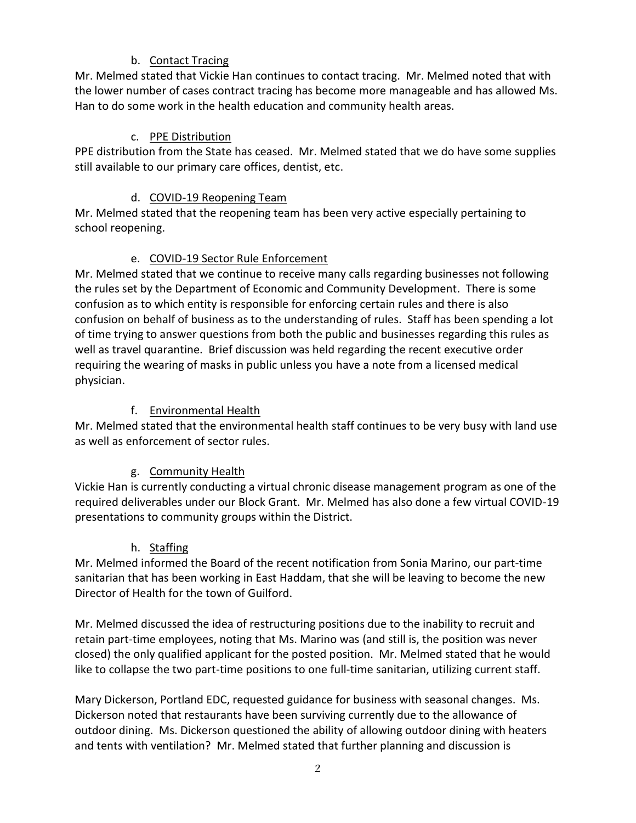# b. Contact Tracing

Mr. Melmed stated that Vickie Han continues to contact tracing. Mr. Melmed noted that with the lower number of cases contract tracing has become more manageable and has allowed Ms. Han to do some work in the health education and community health areas.

## c. PPE Distribution

PPE distribution from the State has ceased. Mr. Melmed stated that we do have some supplies still available to our primary care offices, dentist, etc.

### d. COVID-19 Reopening Team

Mr. Melmed stated that the reopening team has been very active especially pertaining to school reopening.

## e. COVID-19 Sector Rule Enforcement

Mr. Melmed stated that we continue to receive many calls regarding businesses not following the rules set by the Department of Economic and Community Development. There is some confusion as to which entity is responsible for enforcing certain rules and there is also confusion on behalf of business as to the understanding of rules. Staff has been spending a lot of time trying to answer questions from both the public and businesses regarding this rules as well as travel quarantine. Brief discussion was held regarding the recent executive order requiring the wearing of masks in public unless you have a note from a licensed medical physician.

## f. Environmental Health

Mr. Melmed stated that the environmental health staff continues to be very busy with land use as well as enforcement of sector rules.

# g. Community Health

Vickie Han is currently conducting a virtual chronic disease management program as one of the required deliverables under our Block Grant. Mr. Melmed has also done a few virtual COVID-19 presentations to community groups within the District.

### h. Staffing

Mr. Melmed informed the Board of the recent notification from Sonia Marino, our part-time sanitarian that has been working in East Haddam, that she will be leaving to become the new Director of Health for the town of Guilford.

Mr. Melmed discussed the idea of restructuring positions due to the inability to recruit and retain part-time employees, noting that Ms. Marino was (and still is, the position was never closed) the only qualified applicant for the posted position. Mr. Melmed stated that he would like to collapse the two part-time positions to one full-time sanitarian, utilizing current staff.

Mary Dickerson, Portland EDC, requested guidance for business with seasonal changes. Ms. Dickerson noted that restaurants have been surviving currently due to the allowance of outdoor dining. Ms. Dickerson questioned the ability of allowing outdoor dining with heaters and tents with ventilation? Mr. Melmed stated that further planning and discussion is